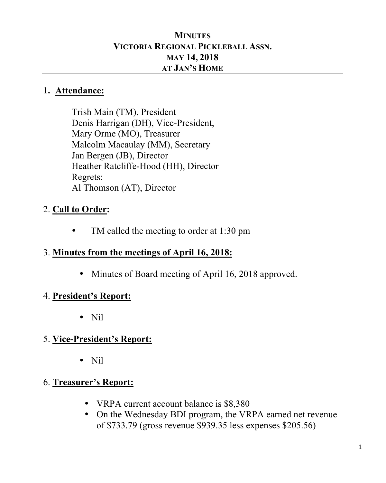#### **MINUTES VICTORIA REGIONAL PICKLEBALL ASSN. MAY 14, 2018 AT JAN'S HOME**

#### **1. Attendance:**

Trish Main (TM), President Denis Harrigan (DH), Vice-President, Mary Orme (MO), Treasurer Malcolm Macaulay (MM), Secretary Jan Bergen (JB), Director Heather Ratcliffe-Hood (HH), Director Regrets: Al Thomson (AT), Director

## 2. **Call to Order:**

• TM called the meeting to order at 1:30 pm

#### 3. **Minutes from the meetings of April 16, 2018:**

• Minutes of Board meeting of April 16, 2018 approved.

#### 4. **President's Report:**

• Nil

### 5. **Vice-President's Report:**

• Nil

### 6. **Treasurer's Report:**

- VRPA current account balance is \$8,380
- On the Wednesday BDI program, the VRPA earned net revenue of \$733.79 (gross revenue \$939.35 less expenses \$205.56)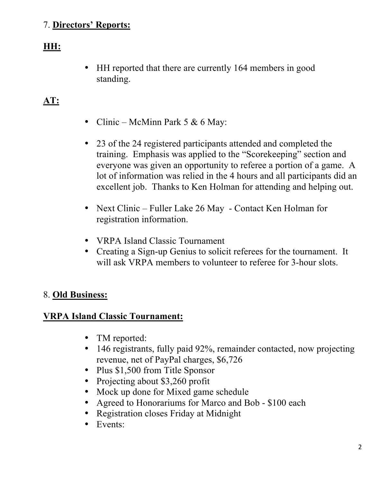### 7. **Directors' Reports:**

## **HH:**

• HH reported that there are currently 164 members in good standing.

## **AT:**

- Clinic McMinn Park 5  $& 6$  May:
- 23 of the 24 registered participants attended and completed the training. Emphasis was applied to the "Scorekeeping" section and everyone was given an opportunity to referee a portion of a game. A lot of information was relied in the 4 hours and all participants did an excellent job. Thanks to Ken Holman for attending and helping out.
- Next Clinic Fuller Lake 26 May Contact Ken Holman for registration information.
- VRPA Island Classic Tournament
- Creating a Sign-up Genius to solicit referees for the tournament. It will ask VRPA members to volunteer to referee for 3-hour slots.

### 8. **Old Business:**

#### **VRPA Island Classic Tournament:**

- TM reported:
- 146 registrants, fully paid 92%, remainder contacted, now projecting revenue, net of PayPal charges, \$6,726
- Plus \$1,500 from Title Sponsor
- Projecting about \$3,260 profit
- Mock up done for Mixed game schedule
- Agreed to Honorariums for Marco and Bob \$100 each
- Registration closes Friday at Midnight
- Events: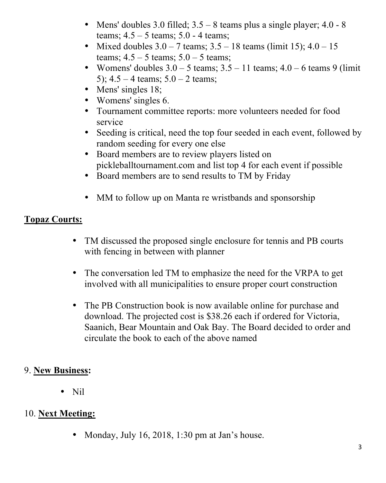- Mens' doubles 3.0 filled;  $3.5 8$  teams plus a single player;  $4.0 8$ teams;  $4.5 - 5$  teams;  $5.0 - 4$  teams;
- Mixed doubles  $3.0 7$  teams;  $3.5 18$  teams (limit 15);  $4.0 15$ teams;  $4.5 - 5$  teams;  $5.0 - 5$  teams;
- Womens' doubles  $3.0 5$  teams;  $3.5 11$  teams;  $4.0 6$  teams 9 (limit) 5);  $4.5 - 4$  teams;  $5.0 - 2$  teams;
- Mens' singles 18;
- Womens' singles 6.
- Tournament committee reports: more volunteers needed for food service
- Seeding is critical, need the top four seeded in each event, followed by random seeding for every one else
- Board members are to review players listed on pickleballtournament.com and list top 4 for each event if possible
- Board members are to send results to TM by Friday
- MM to follow up on Manta re wristbands and sponsorship

## **Topaz Courts:**

- TM discussed the proposed single enclosure for tennis and PB courts with fencing in between with planner
- The conversation led TM to emphasize the need for the VRPA to get involved with all municipalities to ensure proper court construction
- The PB Construction book is now available online for purchase and download. The projected cost is \$38.26 each if ordered for Victoria, Saanich, Bear Mountain and Oak Bay. The Board decided to order and circulate the book to each of the above named

### 9. **New Business:**

• Nil

## 10. **Next Meeting:**

• Monday, July 16, 2018, 1:30 pm at Jan's house.